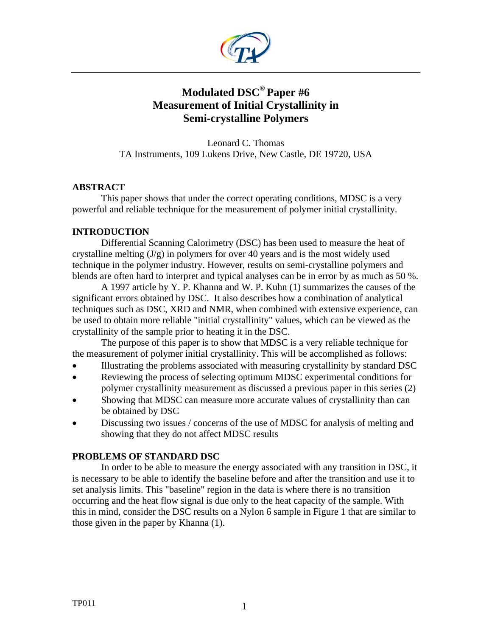

# **Modulated DSC® Paper #6 Measurement of Initial Crystallinity in Semi-crystalline Polymers**

Leonard C. Thomas TA Instruments, 109 Lukens Drive, New Castle, DE 19720, USA

# **ABSTRACT**

This paper shows that under the correct operating conditions, MDSC is a very powerful and reliable technique for the measurement of polymer initial crystallinity.

# **INTRODUCTION**

Differential Scanning Calorimetry (DSC) has been used to measure the heat of crystalline melting (J/g) in polymers for over 40 years and is the most widely used technique in the polymer industry. However, results on semi-crystalline polymers and blends are often hard to interpret and typical analyses can be in error by as much as 50 %.

A 1997 article by Y. P. Khanna and W. P. Kuhn (1) summarizes the causes of the significant errors obtained by DSC. It also describes how a combination of analytical techniques such as DSC, XRD and NMR, when combined with extensive experience, can be used to obtain more reliable "initial crystallinity" values, which can be viewed as the crystallinity of the sample prior to heating it in the DSC.

The purpose of this paper is to show that MDSC is a very reliable technique for the measurement of polymer initial crystallinity. This will be accomplished as follows:

- Illustrating the problems associated with measuring crystallinity by standard DSC
- Reviewing the process of selecting optimum MDSC experimental conditions for polymer crystallinity measurement as discussed a previous paper in this series (2)
- Showing that MDSC can measure more accurate values of crystallinity than can be obtained by DSC
- Discussing two issues / concerns of the use of MDSC for analysis of melting and showing that they do not affect MDSC results

## **PROBLEMS OF STANDARD DSC**

In order to be able to measure the energy associated with any transition in DSC, it is necessary to be able to identify the baseline before and after the transition and use it to set analysis limits. This "baseline" region in the data is where there is no transition occurring and the heat flow signal is due only to the heat capacity of the sample. With this in mind, consider the DSC results on a Nylon 6 sample in Figure 1 that are similar to those given in the paper by Khanna (1).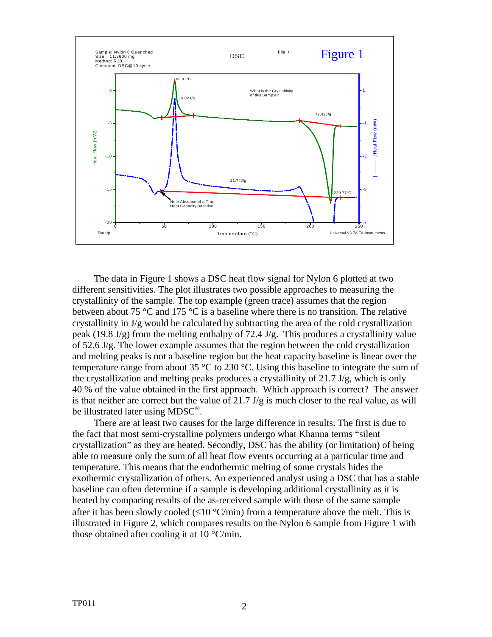

The data in Figure 1 shows a DSC heat flow signal for Nylon 6 plotted at two different sensitivities. The plot illustrates two possible approaches to measuring the crystallinity of the sample. The top example (green trace) assumes that the region between about 75 °C and 175 °C is a baseline where there is no transition. The relative crystallinity in J/g would be calculated by subtracting the area of the cold crystallization peak (19.8 J/g) from the melting enthalpy of 72.4 J/g. This produces a crystallinity value of 52.6 J/g. The lower example assumes that the region between the cold crystallization and melting peaks is not a baseline region but the heat capacity baseline is linear over the temperature range from about 35  $\degree$ C to 230  $\degree$ C. Using this baseline to integrate the sum of the crystallization and melting peaks produces a crystallinity of 21.7 J/g, which is only 40 % of the value obtained in the first approach. Which approach is correct? The answer is that neither are correct but the value of  $21.7 \text{ J/g}$  is much closer to the real value, as will be illustrated later using MDSC<sup>®</sup>.

There are at least two causes for the large difference in results. The first is due to the fact that most semi-crystalline polymers undergo what Khanna terms "silent crystallization" as they are heated. Secondly, DSC has the ability (or limitation) of being able to measure only the sum of all heat flow events occurring at a particular time and temperature. This means that the endothermic melting of some crystals hides the exothermic crystallization of others. An experienced analyst using a DSC that has a stable baseline can often determine if a sample is developing additional crystallinity as it is heated by comparing results of the as-received sample with those of the same sample after it has been slowly cooled ( $\leq 10$  °C/min) from a temperature above the melt. This is illustrated in Figure 2, which compares results on the Nylon 6 sample from Figure 1 with those obtained after cooling it at 10 °C/min.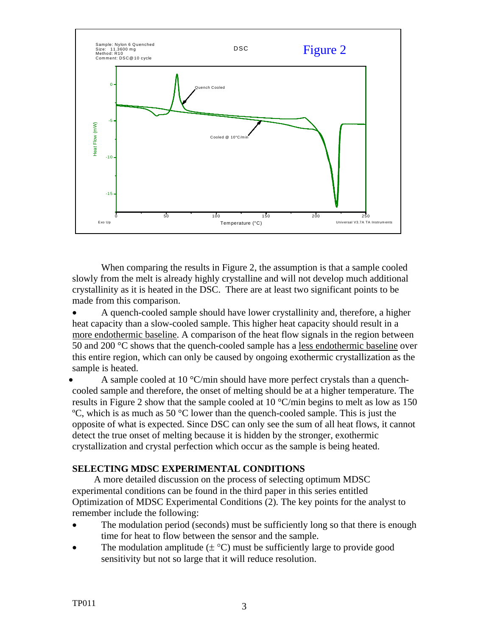

When comparing the results in Figure 2, the assumption is that a sample cooled slowly from the melt is already highly crystalline and will not develop much additional crystallinity as it is heated in the DSC. There are at least two significant points to be made from this comparison.

• A quench-cooled sample should have lower crystallinity and, therefore, a higher heat capacity than a slow-cooled sample. This higher heat capacity should result in a more endothermic baseline. A comparison of the heat flow signals in the region between 50 and 200 °C shows that the quench-cooled sample has a less endothermic baseline over this entire region, which can only be caused by ongoing exothermic crystallization as the sample is heated.

A sample cooled at 10  $^{\circ}$ C/min should have more perfect crystals than a quenchcooled sample and therefore, the onset of melting should be at a higher temperature. The results in Figure 2 show that the sample cooled at 10 °C/min begins to melt as low as 150 ºC, which is as much as 50 °C lower than the quench-cooled sample. This is just the opposite of what is expected. Since DSC can only see the sum of all heat flows, it cannot detect the true onset of melting because it is hidden by the stronger, exothermic crystallization and crystal perfection which occur as the sample is being heated.

## **SELECTING MDSC EXPERIMENTAL CONDITIONS**

A more detailed discussion on the process of selecting optimum MDSC experimental conditions can be found in the third paper in this series entitled Optimization of MDSC Experimental Conditions (2)*.* The key points for the analyst to remember include the following:

- The modulation period (seconds) must be sufficiently long so that there is enough time for heat to flow between the sensor and the sample.
- The modulation amplitude  $(\pm \degree C)$  must be sufficiently large to provide good sensitivity but not so large that it will reduce resolution.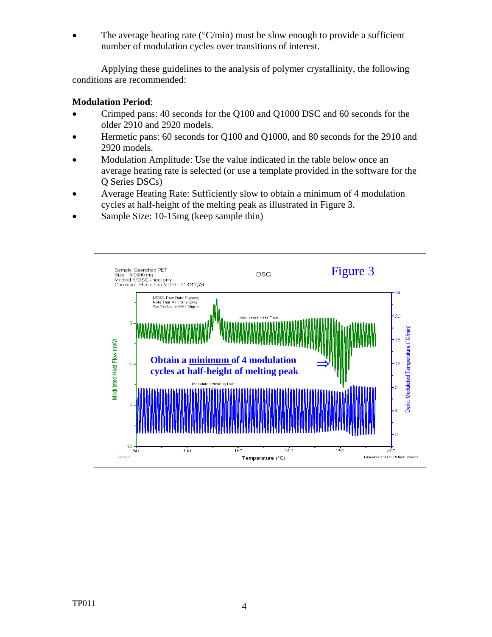The average heating rate ( $\degree$ C/min) must be slow enough to provide a sufficient number of modulation cycles over transitions of interest.

Applying these guidelines to the analysis of polymer crystallinity, the following conditions are recommended:

# **Modulation Period**:

- Crimped pans: 40 seconds for the Q100 and Q1000 DSC and 60 seconds for the older 2910 and 2920 models.
- Hermetic pans: 60 seconds for Q100 and Q1000, and 80 seconds for the 2910 and 2920 models.
- Modulation Amplitude: Use the value indicated in the table below once an average heating rate is selected (or use a template provided in the software for the Q Series DSCs)
- Average Heating Rate: Sufficiently slow to obtain a minimum of 4 modulation cycles at half-height of the melting peak as illustrated in Figure 3.
- Sample Size: 10-15mg (keep sample thin)

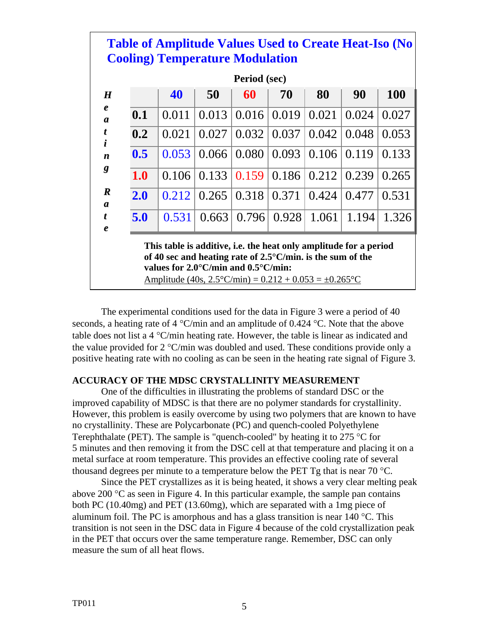| <b>Table of Amplitude Values Used to Create Heat-Iso (No</b><br><b>Cooling) Temperature Modulation</b>                                                                                               |       |       |       |       |       |       |            |
|------------------------------------------------------------------------------------------------------------------------------------------------------------------------------------------------------|-------|-------|-------|-------|-------|-------|------------|
| Period (sec)                                                                                                                                                                                         |       |       |       |       |       |       |            |
|                                                                                                                                                                                                      | 40    | 50    | 60    | 70    | 80    | 90    | <b>100</b> |
| 0.1                                                                                                                                                                                                  | 0.011 | 0.013 | 0.016 | 0.019 | 0.021 | 0.024 | 0.027      |
| 0.2                                                                                                                                                                                                  | 0.021 | 0.027 | 0.032 | 0.037 | 0.042 | 0.048 | 0.053      |
| 0.5                                                                                                                                                                                                  | 0.053 | 0.066 | 0.080 | 0.093 | 0.106 | 0.119 | 0.133      |
| 1.0                                                                                                                                                                                                  | 0.106 | 0.133 | 0.159 | 0.186 | 0.212 | 0.239 | 0.265      |
| 2.0                                                                                                                                                                                                  | 0.212 | 0.265 | 0.318 | 0.371 | 0.424 | 0.477 | 0.531      |
| 5.0                                                                                                                                                                                                  | 0.531 | 0.663 | 0.796 | 0.928 | 1.061 | 1.194 | 1.326      |
| This table is additive, i.e. the heat only amplitude for a period<br>of 40 sec and heating rate of $2.5^{\circ}$ C/min. is the sum of the<br>values for $2.0^{\circ}$ C/min and $0.5^{\circ}$ C/min: |       |       |       |       |       |       |            |
| Amplitude (40s, $2.5^{\circ}$ C/min) = 0.212 + 0.053 = $\pm$ 0.265 $^{\circ}$ C                                                                                                                      |       |       |       |       |       |       |            |

The experimental conditions used for the data in Figure 3 were a period of 40 seconds, a heating rate of 4  $^{\circ}$ C/min and an amplitude of 0.424  $^{\circ}$ C. Note that the above table does not list a  $4 \text{°C/min}$  heating rate. However, the table is linear as indicated and the value provided for 2 °C/min was doubled and used. These conditions provide only a positive heating rate with no cooling as can be seen in the heating rate signal of Figure 3.

## **ACCURACY OF THE MDSC CRYSTALLINITY MEASUREMENT**

One of the difficulties in illustrating the problems of standard DSC or the improved capability of MDSC is that there are no polymer standards for crystallinity. However, this problem is easily overcome by using two polymers that are known to have no crystallinity. These are Polycarbonate (PC) and quench-cooled Polyethylene Terephthalate (PET). The sample is "quench-cooled" by heating it to 275  $\degree$ C for 5 minutes and then removing it from the DSC cell at that temperature and placing it on a metal surface at room temperature. This provides an effective cooling rate of several thousand degrees per minute to a temperature below the PET Tg that is near 70  $^{\circ}$ C.

Since the PET crystallizes as it is being heated, it shows a very clear melting peak above 200  $\degree$ C as seen in Figure 4. In this particular example, the sample pan contains both PC (10.40mg) and PET (13.60mg), which are separated with a 1mg piece of aluminum foil. The PC is amorphous and has a glass transition is near 140  $^{\circ}$ C. This transition is not seen in the DSC data in Figure 4 because of the cold crystallization peak in the PET that occurs over the same temperature range. Remember, DSC can only measure the sum of all heat flows.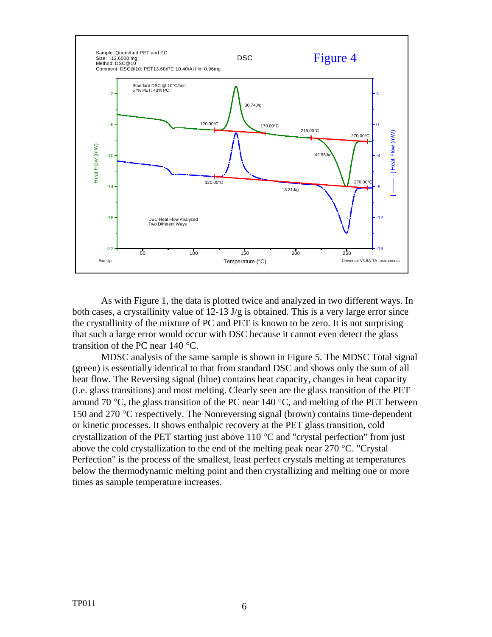

As with Figure 1, the data is plotted twice and analyzed in two different ways. In both cases, a crystallinity value of 12-13 J/g is obtained. This is a very large error since the crystallinity of the mixture of PC and PET is known to be zero. It is not surprising that such a large error would occur with DSC because it cannot even detect the glass transition of the PC near 140 °C.

MDSC analysis of the same sample is shown in Figure 5. The MDSC Total signal (green) is essentially identical to that from standard DSC and shows only the sum of all heat flow. The Reversing signal (blue) contains heat capacity, changes in heat capacity (i.e. glass transitions) and most melting. Clearly seen are the glass transition of the PET around 70  $\degree$ C, the glass transition of the PC near 140  $\degree$ C, and melting of the PET between 150 and 270 °C respectively. The Nonreversing signal (brown) contains time-dependent or kinetic processes. It shows enthalpic recovery at the PET glass transition, cold crystallization of the PET starting just above  $110^{\circ}$ C and "crystal perfection" from just above the cold crystallization to the end of the melting peak near 270 °C. "Crystal Perfection" is the process of the smallest, least perfect crystals melting at temperatures below the thermodynamic melting point and then crystallizing and melting one or more times as sample temperature increases.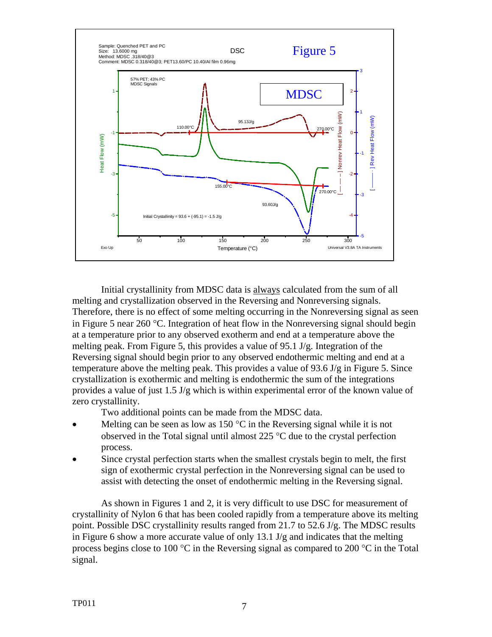

Initial crystallinity from MDSC data is always calculated from the sum of all melting and crystallization observed in the Reversing and Nonreversing signals. Therefore, there is no effect of some melting occurring in the Nonreversing signal as seen in Figure 5 near 260 °C. Integration of heat flow in the Nonreversing signal should begin at a temperature prior to any observed exotherm and end at a temperature above the melting peak. From Figure 5, this provides a value of 95.1 J/g. Integration of the Reversing signal should begin prior to any observed endothermic melting and end at a temperature above the melting peak. This provides a value of 93.6 J/g in Figure 5. Since crystallization is exothermic and melting is endothermic the sum of the integrations provides a value of just 1.5 J/g which is within experimental error of the known value of zero crystallinity.

Two additional points can be made from the MDSC data.

- Melting can be seen as low as 150  $\degree$ C in the Reversing signal while it is not observed in the Total signal until almost 225 °C due to the crystal perfection process.
- Since crystal perfection starts when the smallest crystals begin to melt, the first sign of exothermic crystal perfection in the Nonreversing signal can be used to assist with detecting the onset of endothermic melting in the Reversing signal.

As shown in Figures 1 and 2, it is very difficult to use DSC for measurement of crystallinity of Nylon 6 that has been cooled rapidly from a temperature above its melting point. Possible DSC crystallinity results ranged from 21.7 to 52.6 J/g. The MDSC results in Figure 6 show a more accurate value of only  $13.1$  J/g and indicates that the melting process begins close to 100 °C in the Reversing signal as compared to 200 °C in the Total signal.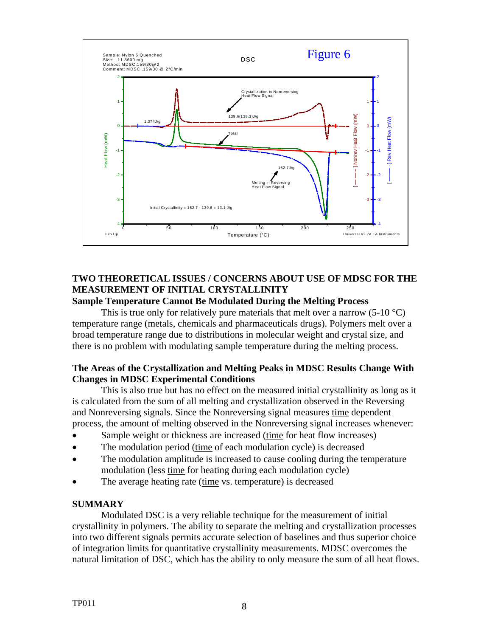

# **TWO THEORETICAL ISSUES / CONCERNS ABOUT USE OF MDSC FOR THE MEASUREMENT OF INITIAL CRYSTALLINITY Sample Temperature Cannot Be Modulated During the Melting Process**

This is true only for relatively pure materials that melt over a narrow  $(5{\text -}10^{\circ}C)$ temperature range (metals, chemicals and pharmaceuticals drugs). Polymers melt over a broad temperature range due to distributions in molecular weight and crystal size, and there is no problem with modulating sample temperature during the melting process.

# **The Areas of the Crystallization and Melting Peaks in MDSC Results Change With Changes in MDSC Experimental Conditions**

This is also true but has no effect on the measured initial crystallinity as long as it is calculated from the sum of all melting and crystallization observed in the Reversing and Nonreversing signals. Since the Nonreversing signal measures time dependent process, the amount of melting observed in the Nonreversing signal increases whenever:

- Sample weight or thickness are increased (time for heat flow increases)
- The modulation period (time of each modulation cycle) is decreased
- The modulation amplitude is increased to cause cooling during the temperature modulation (less time for heating during each modulation cycle)
- The average heating rate (time vs. temperature) is decreased

## **SUMMARY**

Modulated DSC is a very reliable technique for the measurement of initial crystallinity in polymers. The ability to separate the melting and crystallization processes into two different signals permits accurate selection of baselines and thus superior choice of integration limits for quantitative crystallinity measurements. MDSC overcomes the natural limitation of DSC, which has the ability to only measure the sum of all heat flows.